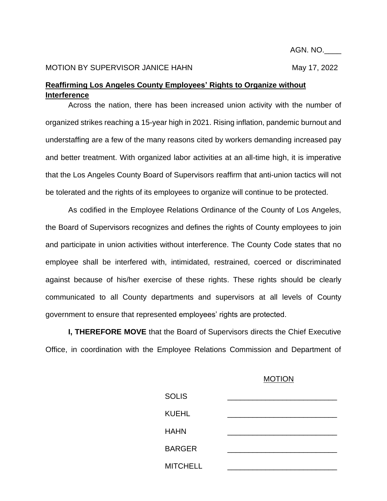## MOTION BY SUPERVISOR JANICE HAHN MAY 17, 2022

## **Reaffirming Los Angeles County Employees' Rights to Organize without Interference**

Across the nation, there has been increased union activity with the number of organized strikes reaching a 15-year high in 2021. Rising inflation, pandemic burnout and understaffing are a few of the many reasons cited by workers demanding increased pay and better treatment. With organized labor activities at an all-time high, it is imperative that the Los Angeles County Board of Supervisors reaffirm that anti-union tactics will not be tolerated and the rights of its employees to organize will continue to be protected.

As codified in the Employee Relations Ordinance of the County of Los Angeles, the Board of Supervisors recognizes and defines the rights of County employees to join and participate in union activities without interference. The County Code states that no employee shall be interfered with, intimidated, restrained, coerced or discriminated against because of his/her exercise of these rights. These rights should be clearly communicated to all County departments and supervisors at all levels of County government to ensure that represented employees' rights are protected.

**I, THEREFORE MOVE** that the Board of Supervisors directs the Chief Executive Office, in coordination with the Employee Relations Commission and Department of

## MOTION

| <b>SOLIS</b>    |  |
|-----------------|--|
| <b>KUEHL</b>    |  |
| <b>HAHN</b>     |  |
| <b>BARGER</b>   |  |
| <b>MITCHELL</b> |  |